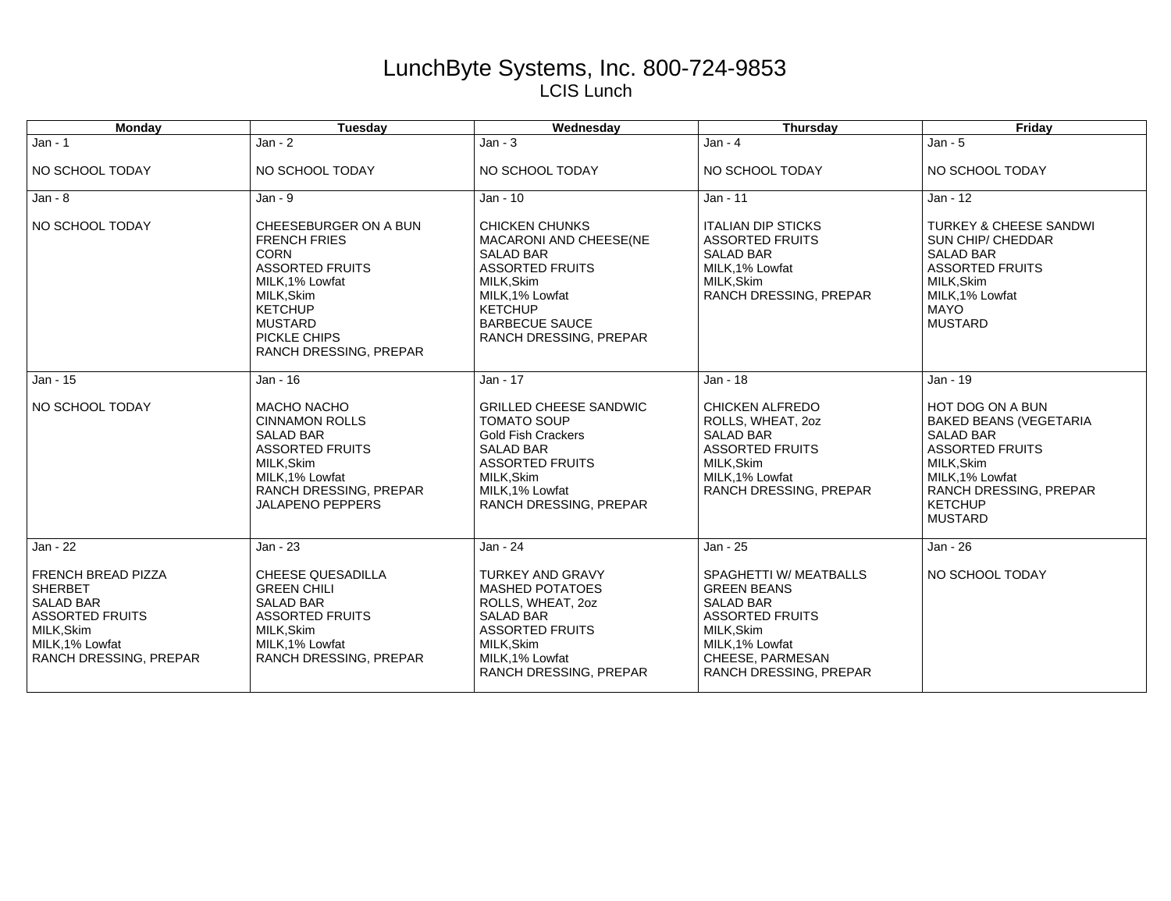## LunchByte Systems, Inc. 800-724-9853 LCIS Lunch

| <b>Monday</b>                                                                                                                                               | Tuesday                                                                                                                                                                                              | Wednesday                                                                                                                                                                                          | <b>Thursday</b>                                                                                                                                                                  | Friday                                                                                                                                                                                        |
|-------------------------------------------------------------------------------------------------------------------------------------------------------------|------------------------------------------------------------------------------------------------------------------------------------------------------------------------------------------------------|----------------------------------------------------------------------------------------------------------------------------------------------------------------------------------------------------|----------------------------------------------------------------------------------------------------------------------------------------------------------------------------------|-----------------------------------------------------------------------------------------------------------------------------------------------------------------------------------------------|
| $Jan - 1$                                                                                                                                                   | $Jan - 2$                                                                                                                                                                                            | $Jan - 3$                                                                                                                                                                                          | $Jan - 4$                                                                                                                                                                        | $Jan - 5$                                                                                                                                                                                     |
| NO SCHOOL TODAY                                                                                                                                             | NO SCHOOL TODAY                                                                                                                                                                                      | NO SCHOOL TODAY                                                                                                                                                                                    | NO SCHOOL TODAY                                                                                                                                                                  | NO SCHOOL TODAY                                                                                                                                                                               |
| $Jan - 8$                                                                                                                                                   | $Jan - 9$                                                                                                                                                                                            | Jan - 10                                                                                                                                                                                           | Jan - 11                                                                                                                                                                         | Jan - 12                                                                                                                                                                                      |
| NO SCHOOL TODAY                                                                                                                                             | CHEESEBURGER ON A BUN<br><b>FRENCH FRIES</b><br><b>CORN</b><br><b>ASSORTED FRUITS</b><br>MILK, 1% Lowfat<br>MILK, Skim<br><b>KETCHUP</b><br><b>MUSTARD</b><br>PICKLE CHIPS<br>RANCH DRESSING, PREPAR | <b>CHICKEN CHUNKS</b><br>MACARONI AND CHEESE(NE<br><b>SALAD BAR</b><br><b>ASSORTED FRUITS</b><br>MILK.Skim<br>MILK, 1% Lowfat<br><b>KETCHUP</b><br><b>BARBECUE SAUCE</b><br>RANCH DRESSING, PREPAR | <b>ITALIAN DIP STICKS</b><br><b>ASSORTED FRUITS</b><br><b>SALAD BAR</b><br>MILK, 1% Lowfat<br>MILK.Skim<br>RANCH DRESSING, PREPAR                                                | <b>TURKEY &amp; CHEESE SANDWI</b><br>SUN CHIP/ CHEDDAR<br><b>SALAD BAR</b><br><b>ASSORTED FRUITS</b><br>MILK.Skim<br>MILK.1% Lowfat<br><b>MAYO</b><br><b>MUSTARD</b>                          |
| Jan - 15                                                                                                                                                    | Jan - 16                                                                                                                                                                                             | Jan - 17                                                                                                                                                                                           | Jan - 18                                                                                                                                                                         | Jan - 19                                                                                                                                                                                      |
| NO SCHOOL TODAY                                                                                                                                             | <b>MACHO NACHO</b><br><b>CINNAMON ROLLS</b><br><b>SALAD BAR</b><br><b>ASSORTED FRUITS</b><br>MILK, Skim<br>MILK, 1% Lowfat<br>RANCH DRESSING, PREPAR<br><b>JALAPENO PEPPERS</b>                      | <b>GRILLED CHEESE SANDWIC</b><br><b>TOMATO SOUP</b><br><b>Gold Fish Crackers</b><br><b>SALAD BAR</b><br><b>ASSORTED FRUITS</b><br>MILK.Skim<br>MILK, 1% Lowfat<br>RANCH DRESSING, PREPAR           | <b>CHICKEN ALFREDO</b><br>ROLLS, WHEAT, 20Z<br><b>SALAD BAR</b><br><b>ASSORTED FRUITS</b><br>MILK, Skim<br>MILK.1% Lowfat<br>RANCH DRESSING, PREPAR                              | HOT DOG ON A BUN<br><b>BAKED BEANS (VEGETARIA</b><br><b>SALAD BAR</b><br><b>ASSORTED FRUITS</b><br>MILK, Skim<br>MILK.1% Lowfat<br>RANCH DRESSING, PREPAR<br><b>KETCHUP</b><br><b>MUSTARD</b> |
| Jan - 22                                                                                                                                                    | Jan - 23                                                                                                                                                                                             | Jan - 24                                                                                                                                                                                           | Jan - 25                                                                                                                                                                         | Jan - 26                                                                                                                                                                                      |
| <b>FRENCH BREAD PIZZA</b><br><b>SHERBET</b><br><b>SALAD BAR</b><br><b>ASSORTED FRUITS</b><br>MILK, Skim<br>MILK, 1% Lowfat<br><b>RANCH DRESSING, PREPAR</b> | <b>CHEESE QUESADILLA</b><br><b>GREEN CHILI</b><br><b>SALAD BAR</b><br><b>ASSORTED FRUITS</b><br>MILK, Skim<br>MILK, 1% Lowfat<br>RANCH DRESSING, PREPAR                                              | <b>TURKEY AND GRAVY</b><br><b>MASHED POTATOES</b><br>ROLLS, WHEAT, 20Z<br><b>SALAD BAR</b><br><b>ASSORTED FRUITS</b><br>MILK, Skim<br>MILK, 1% Lowfat<br>RANCH DRESSING, PREPAR                    | SPAGHETTI W/ MEATBALLS<br><b>GREEN BEANS</b><br><b>SALAD BAR</b><br><b>ASSORTED FRUITS</b><br>MILK, Skim<br>MILK, 1% Lowfat<br>CHEESE, PARMESAN<br><b>RANCH DRESSING, PREPAR</b> | NO SCHOOL TODAY                                                                                                                                                                               |